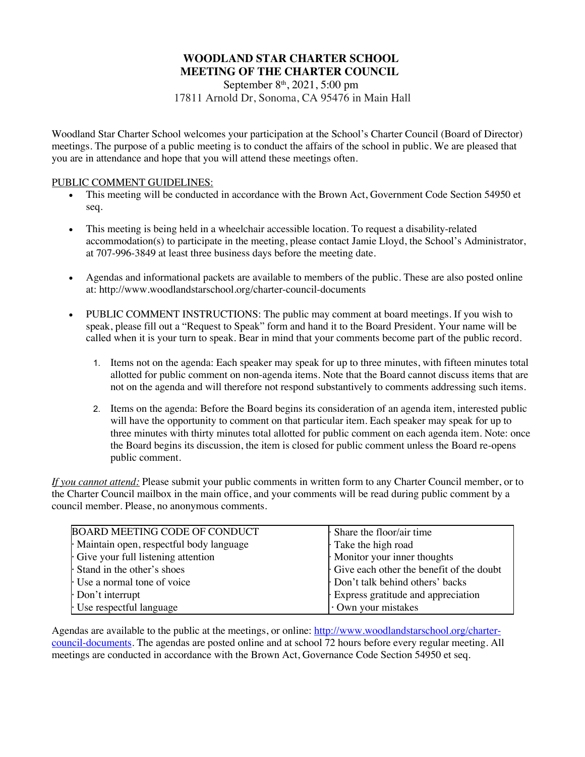# **WOODLAND STAR CHARTER SCHOOL MEETING OF THE CHARTER COUNCIL**

September 8<sup>th</sup>, 2021, 5:00 pm 17811 Arnold Dr, Sonoma, CA 95476 in Main Hall

Woodland Star Charter School welcomes your participation at the School's Charter Council (Board of Director) meetings. The purpose of a public meeting is to conduct the affairs of the school in public. We are pleased that you are in attendance and hope that you will attend these meetings often.

#### PUBLIC COMMENT GUIDELINES:

- This meeting will be conducted in accordance with the Brown Act, Government Code Section 54950 et seq.
- This meeting is being held in a wheelchair accessible location. To request a disability-related accommodation(s) to participate in the meeting, please contact Jamie Lloyd, the School's Administrator, at 707-996-3849 at least three business days before the meeting date.
- Agendas and informational packets are available to members of the public. These are also posted online at: http://www.woodlandstarschool.org/charter-council-documents
- PUBLIC COMMENT INSTRUCTIONS: The public may comment at board meetings. If you wish to speak, please fill out a "Request to Speak" form and hand it to the Board President. Your name will be called when it is your turn to speak. Bear in mind that your comments become part of the public record.
	- 1. Items not on the agenda: Each speaker may speak for up to three minutes, with fifteen minutes total allotted for public comment on non-agenda items. Note that the Board cannot discuss items that are not on the agenda and will therefore not respond substantively to comments addressing such items.
	- 2. Items on the agenda: Before the Board begins its consideration of an agenda item, interested public will have the opportunity to comment on that particular item. Each speaker may speak for up to three minutes with thirty minutes total allotted for public comment on each agenda item. Note: once the Board begins its discussion, the item is closed for public comment unless the Board re-opens public comment.

*If you cannot attend:* Please submit your public comments in written form to any Charter Council member, or to the Charter Council mailbox in the main office, and your comments will be read during public comment by a council member. Please, no anonymous comments.

| <b>BOARD MEETING CODE OF CONDUCT</b>    | Share the floor/air time                 |
|-----------------------------------------|------------------------------------------|
| Maintain open, respectful body language | Take the high road                       |
| Give your full listening attention      | Monitor your inner thoughts              |
| Stand in the other's shoes              | Give each other the benefit of the doubt |
| Use a normal tone of voice              | Don't talk behind others' backs          |
| $\cdot$ Don't interrupt                 | Express gratitude and appreciation       |
| Use respectful language                 | Own your mistakes                        |

Agendas are available to the public at the meetings, or online: http://www.woodlandstarschool.org/chartercouncil-documents. The agendas are posted online and at school 72 hours before every regular meeting. All meetings are conducted in accordance with the Brown Act, Governance Code Section 54950 et seq.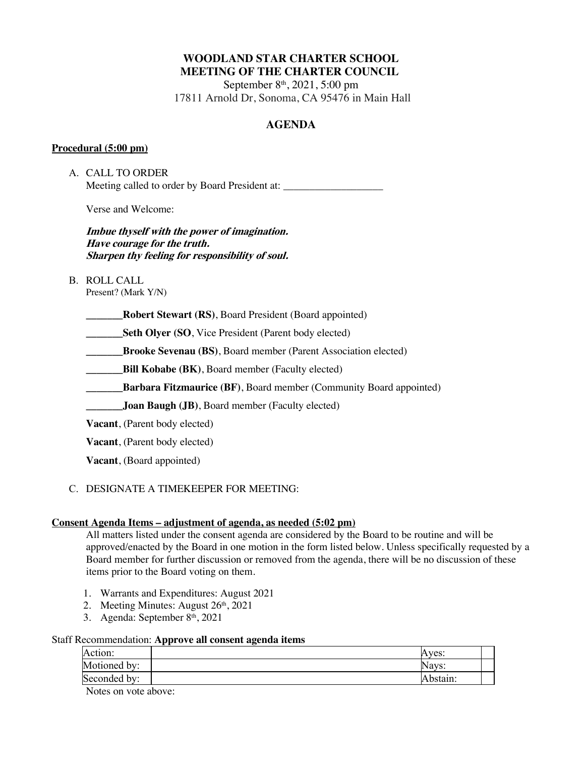# **WOODLAND STAR CHARTER SCHOOL MEETING OF THE CHARTER COUNCIL**

September 8<sup>th</sup>, 2021, 5:00 pm 17811 Arnold Dr, Sonoma, CA 95476 in Main Hall

## **AGENDA**

### **Procedural (5:00 pm)**

A. CALL TO ORDER Meeting called to order by Board President at:

Verse and Welcome:

**Imbue thyself with the power of imagination. Have courage for the truth. Sharpen thy feeling for responsibility of soul.**

B. ROLL CALL

Present? (Mark Y/N)

**\_\_\_\_\_\_\_Robert Stewart (RS)**, Board President (Board appointed)

**Seth Olyer (SO, Vice President (Parent body elected)** 

**\_\_\_\_\_\_\_Brooke Sevenau (BS)**, Board member (Parent Association elected)

**Bill Kobabe (BK), Board member (Faculty elected)** 

**\_Barbara Fitzmaurice (BF)**, Board member (Community Board appointed)

**\_\_\_\_\_\_\_Joan Baugh (JB)**, Board member (Faculty elected)

**Vacant**, (Parent body elected)

**Vacant**, (Parent body elected)

**Vacant**, (Board appointed)

## C. DESIGNATE A TIMEKEEPER FOR MEETING:

### **Consent Agenda Items – adjustment of agenda, as needed (5:02 pm)**

All matters listed under the consent agenda are considered by the Board to be routine and will be approved/enacted by the Board in one motion in the form listed below. Unless specifically requested by a Board member for further discussion or removed from the agenda, there will be no discussion of these items prior to the Board voting on them.

- 1. Warrants and Expenditures: August 2021
- 2. Meeting Minutes: August 26<sup>th</sup>, 2021
- 3. Agenda: September 8<sup>th</sup>, 2021

### Staff Recommendation: **Approve all consent agenda items**

|              | . . |          |  |
|--------------|-----|----------|--|
| Action:      |     | Aves:    |  |
| Motioned by: |     | Nays:    |  |
| Seconded by: |     | Abstain: |  |
| $ -$         |     |          |  |

Notes on vote above: